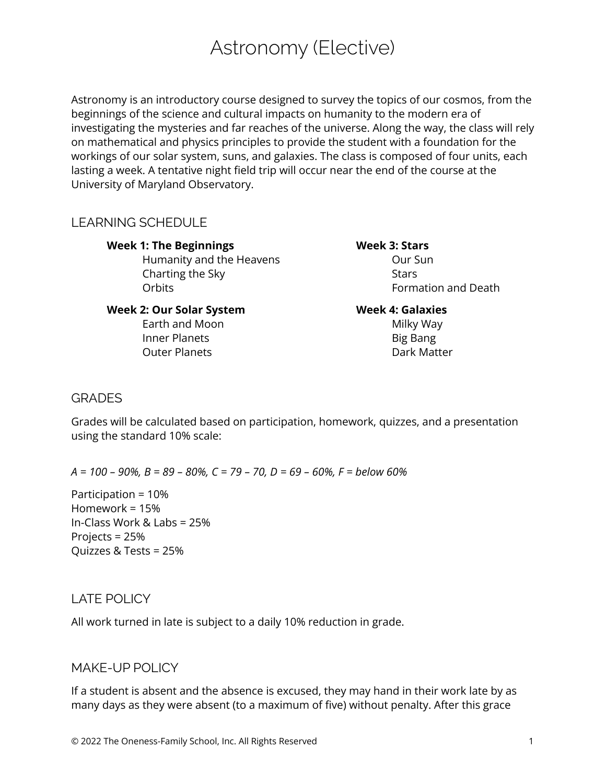# Astronomy (Elective)

Astronomy is an introductory course designed to survey the topics of our cosmos, from the beginnings of the science and cultural impacts on humanity to the modern era of investigating the mysteries and far reaches of the universe. Along the way, the class will rely on mathematical and physics principles to provide the student with a foundation for the workings of our solar system, suns, and galaxies. The class is composed of four units, each lasting a week. A tentative night field trip will occur near the end of the course at the University of Maryland Observatory.

### LEARNING SCHEDULE

**Week 1: The Beginnings**

Humanity and the Heavens Charting the Sky **Orbits** 

# Our Sun **Stars** Formation and Death

#### **Week 2: Our Solar System**

Earth and Moon Inner Planets Outer Planets

**Week 4: Galaxies** Milky Way Big Bang Dark Matter

**Week 3: Stars**

#### GRADES

Grades will be calculated based on participation, homework, quizzes, and a presentation using the standard 10% scale:

 $A = 100 - 90\%$ ,  $B = 89 - 80\%$ ,  $C = 79 - 70$ ,  $D = 69 - 60\%$ ,  $F =$  below 60%

Participation = 10% Homework = 15% In-Class Work & Labs = 25% Projects = 25% Quizzes & Tests = 25%

## LATE POLICY

All work turned in late is subject to a daily 10% reduction in grade.

#### MAKE-UP POLICY

If a student is absent and the absence is excused, they may hand in their work late by as many days as they were absent (to a maximum of five) without penalty. After this grace